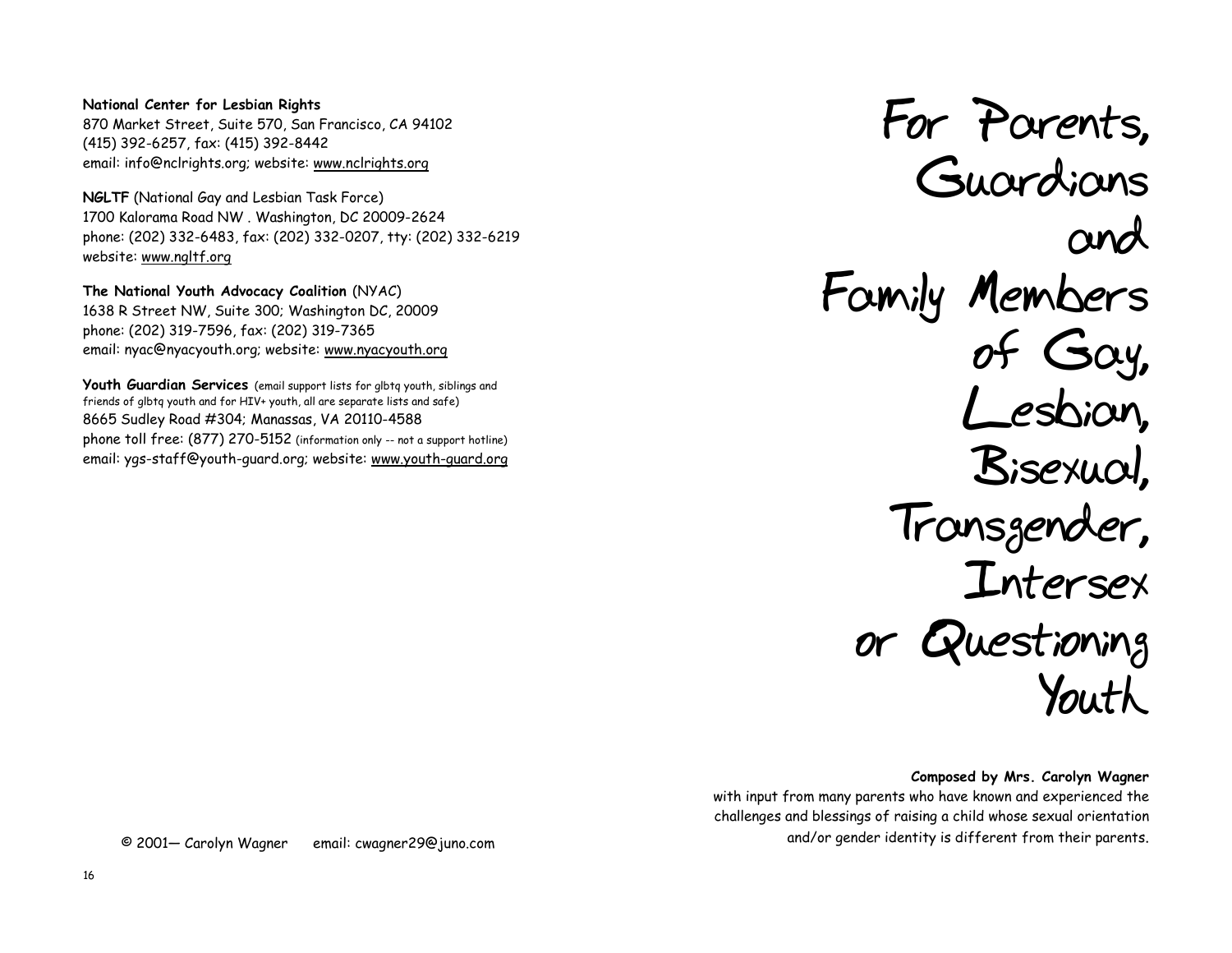### **National Center for Lesbian Rights** 870 Market Street, Suite 570, San Francisco, CA 94102 (415) 392-6257, fax: (415) 392-8442 email: info@nclrights.org; website: www.nclrights.org

**NGLTF** (National Gay and Lesbian Task Force) 1700 Kalorama Road NW . Washington, DC 20009-2624 phone: (202) 332-6483, fax: (202) 332-0207, tty: (202) 332-6219 website: www.ngltf.org

**The National Youth Advocacy Coalition** (NYAC) 1638 R Street NW, Suite 300; Washington DC, 20009 phone: (202) 319-7596, fax: (202) 319-7365 email: nyac@nyacyouth.org; website: www.nyacyouth.org

**Youth Guardian Services** (email support lists for glbtq youth, siblings and friends of glbtq youth and for HIV+ youth, all are separate lists and safe) 8665 Sudley Road #304; Manassas, VA 20110-4588 phone toll free: (877) 270-5152 (information only -- not a support hotline) email: ygs-staff@youth-guard.org; website: www.youth-guard.org

**For Parents, Guardians and Family Members of Gay, Lesbian, Bisexual, Transgender, Intersex or Questioning Youth** 

**Composed by Mrs. Carolyn Wagner** with input from many parents who have known and experienced the challenges and blessings of raising a child whose sexual orientation and/or gender identity is different from their parents.

© 2001— Carolyn Wagner email: cwagner29@juno.com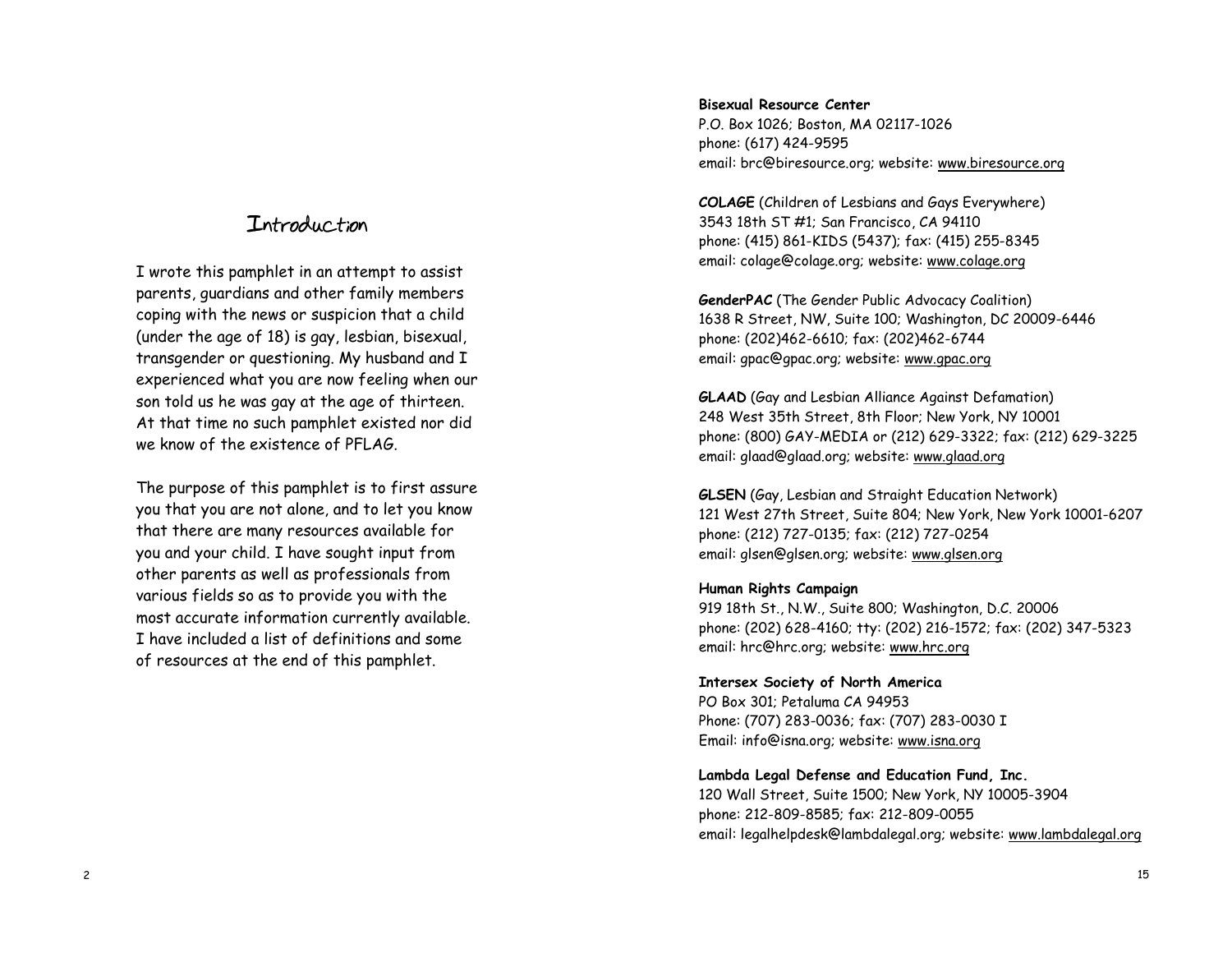## **Introduction**

I wrote this pamphlet in an attempt to assist parents, guardians and other family members coping with the news or suspicion that a child (under the age of 18) is gay, lesbian, bisexual, transgender or questioning. My husband and I experienced what you are now feeling when our son told us he was gay at the age of thirteen. At that time no such pamphlet existed nor did we know of the existence of PFLAG.

The purpose of this pamphlet is to first assure you that you are not alone, and to let you know that there are many resources available for you and your child. I have sought input from other parents as well as professionals from various fields so as to provide you with the most accurate information currently available. I have included a list of definitions and some of resources at the end of this pamphlet.

### **Bisexual Resource Center**

P.O. Box 1026; Boston, MA 02117-1026 phone: (617) 424-9595 email: brc@biresource.org; website: www.biresource.org

**COLAGE** (Children of Lesbians and Gays Everywhere) 3543 18th ST #1; San Francisco, CA 94110 phone: (415) 861-KIDS (5437); fax: (415) 255-8345 email: colage@colage.org; website: www.colage.org

**GenderPAC** (The Gender Public Advocacy Coalition) 1638 R Street, NW, Suite 100; Washington, DC 20009-6446 phone: (202)462-6610; fax: (202)462-6744 email: gpac@gpac.org; website: www.gpac.org

**GLAAD** (Gay and Lesbian Alliance Against Defamation) 248 West 35th Street, 8th Floor; New York, NY 10001 phone: (800) GAY-MEDIA or (212) 629-3322; fax: (212) 629-3225 email: glaad@glaad.org; website: www.glaad.org

**GLSEN** (Gay, Lesbian and Straight Education Network) 121 West 27th Street, Suite 804; New York, New York 10001-6207 phone: (212) 727-0135; fax: (212) 727-0254 email: glsen@glsen.org; website: www.glsen.org

### **Human Rights Campaign**

919 18th St., N.W., Suite 800; Washington, D.C. 20006 phone: (202) 628-4160; tty: (202) 216-1572; fax: (202) 347-5323 email: hrc@hrc.org; website: www.hrc.org

#### **Intersex Society of North America**

PO Box 301; Petaluma CA 94953 Phone: (707) 283-0036; fax: (707) 283-0030 I Email: info@isna.org; website: www.isna.org

#### **Lambda Legal Defense and Education Fund, Inc.**

120 Wall Street, Suite 1500; New York, NY 10005-3904 phone: 212-809-8585; fax: 212-809-0055 email: legalhelpdesk@lambdalegal.org; website: www.lambdalegal.org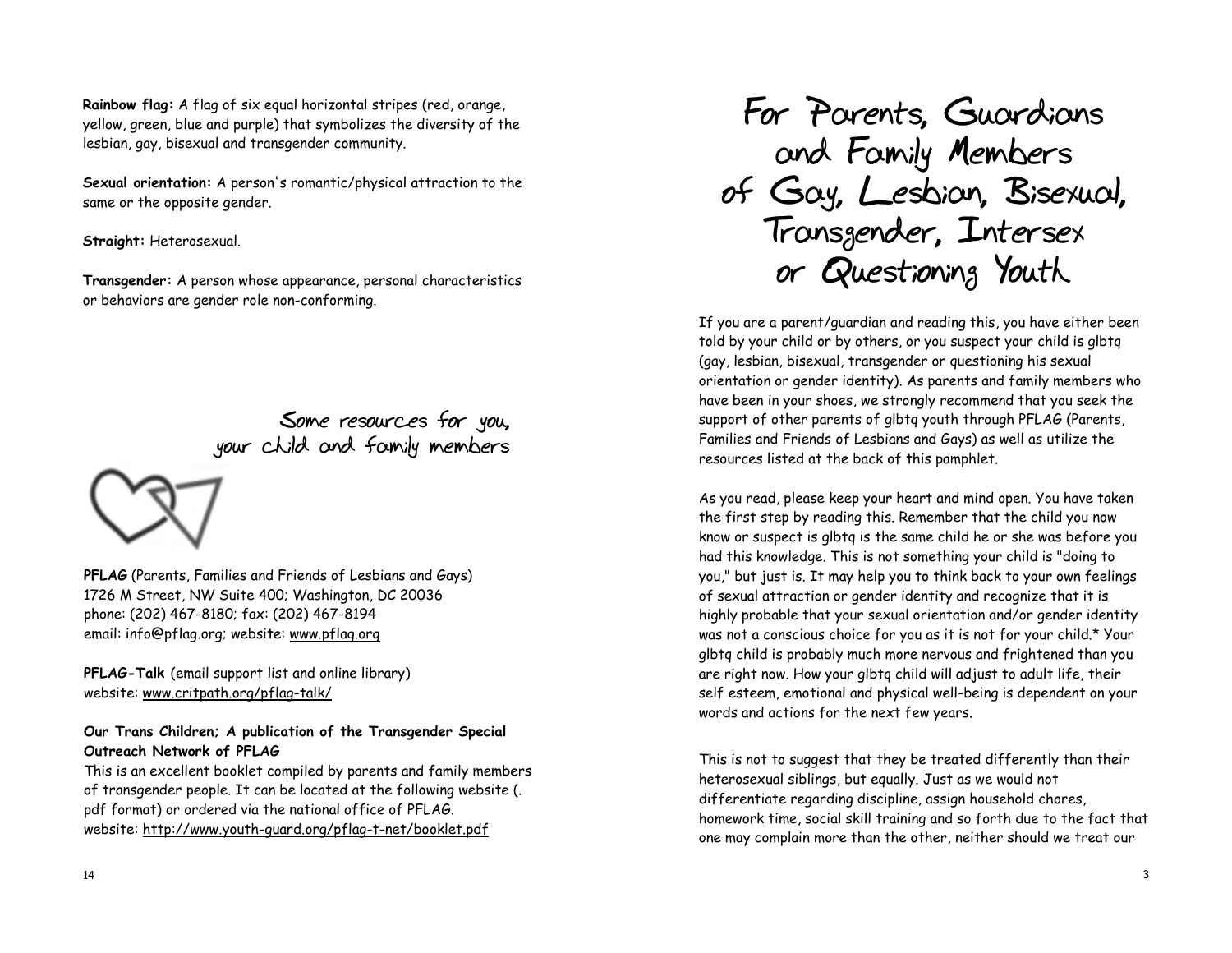**Rainbow flag:** A flag of six equal horizontal stripes (red, orange, yellow, green, blue and purple) that symbolizes the diversity of the lesbian, gay, bisexual and transgender community.

**Sexual orientation:** A person's romantic/physical attraction to the same or the opposite gender.

**Straight:** Heterosexual.

**Transgender:** A person whose appearance, personal characteristics or behaviors are gender role non-conforming.

> **Some resources for you, your child and family members**



**PFLAG** (Parents, Families and Friends of Lesbians and Gays) 1726 M Street, NW Suite 400; Washington, DC 20036 phone: (202) 467-8180; fax: (202) 467-8194 email: info@pflag.org; website: www.pflag.org

**PFLAG-Talk** (email support list and online library) website: www.critpath.org/pflag-talk/

## **Our Trans Children; A publication of the Transgender Special Outreach Network of PFLAG**

This is an excellent booklet compiled by parents and family members of transgender people. It can be located at the following website (. pdf format) or ordered via the national office of PFLAG. website: http://www.youth-guard.org/pflag-t-net/booklet.pdf

**For Parents, Guardians and Family Members of Gay, Lesbian, Bisexual, Transgender, Intersex or Questioning Youth**

If you are a parent/guardian and reading this, you have either been told by your child or by others, or you suspect your child is glbtq (gay, lesbian, bisexual, transgender or questioning his sexual orientation or gender identity). As parents and family members who have been in your shoes, we strongly recommend that you seek the support of other parents of glbtq youth through PFLAG (Parents, Families and Friends of Lesbians and Gays) as well as utilize the resources listed at the back of this pamphlet.

As you read, please keep your heart and mind open. You have taken the first step by reading this. Remember that the child you now know or suspect is glbtq is the same child he or she was before you had this knowledge. This is not something your child is "doing to you," but just is. It may help you to think back to your own feelings of sexual attraction or gender identity and recognize that it is highly probable that your sexual orientation and/or gender identity was not a conscious choice for you as it is not for your child.\* Your glbtq child is probably much more nervous and frightened than you are right now. How your glbtq child will adjust to adult life, their self esteem, emotional and physical well-being is dependent on your words and actions for the next few years.

This is not to suggest that they be treated differently than their heterosexual siblings, but equally. Just as we would not differentiate regarding discipline, assign household chores, homework time, social skill training and so forth due to the fact that one may complain more than the other, neither should we treat our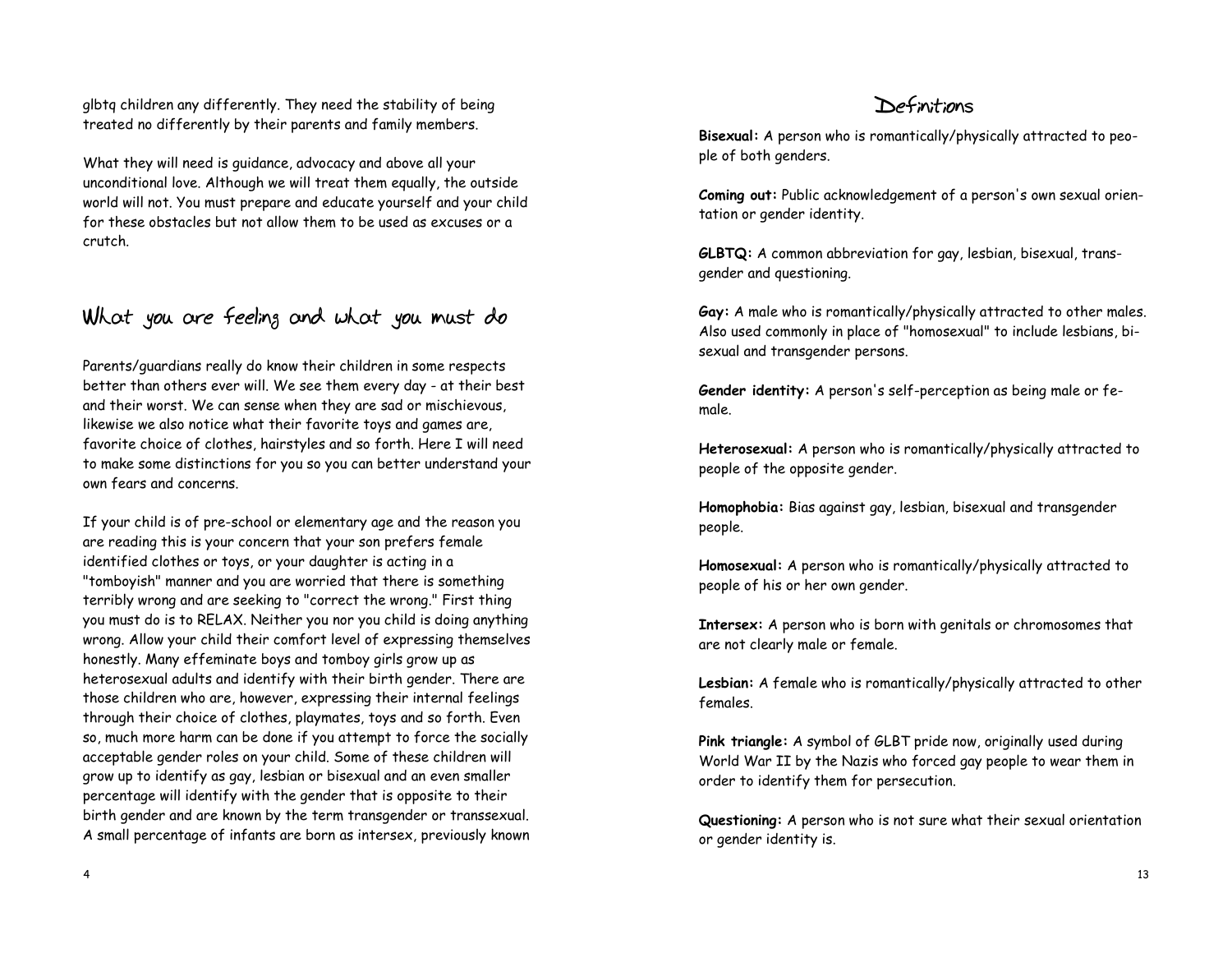glbtq children any differently. They need the stability of being treated no differently by their parents and family members.

What they will need is guidance, advocacy and above all your unconditional love. Although we will treat them equally, the outside world will not. You must prepare and educate yourself and your child for these obstacles but not allow them to be used as excuses or a crutch.

# **What you are feeling and what you must do**

Parents/guardians really do know their children in some respects better than others ever will. We see them every day - at their best and their worst. We can sense when they are sad or mischievous, likewise we also notice what their favorite toys and games are, favorite choice of clothes, hairstyles and so forth. Here I will need to make some distinctions for you so you can better understand your own fears and concerns.

If your child is of pre-school or elementary age and the reason you are reading this is your concern that your son prefers female identified clothes or toys, or your daughter is acting in a "tomboyish" manner and you are worried that there is something terribly wrong and are seeking to "correct the wrong." First thing you must do is to RELAX. Neither you nor you child is doing anything wrong. Allow your child their comfort level of expressing themselves honestly. Many effeminate boys and tomboy girls grow up as heterosexual adults and identify with their birth gender. There are those children who are, however, expressing their internal feelings through their choice of clothes, playmates, toys and so forth. Even so, much more harm can be done if you attempt to force the socially acceptable gender roles on your child. Some of these children will grow up to identify as gay, lesbian or bisexual and an even smaller percentage will identify with the gender that is opposite to their birth gender and are known by the term transgender or transsexual. A small percentage of infants are born as intersex, previously known

## **Definitions**

**Bisexual:** A person who is romantically/physically attracted to people of both genders.

**Coming out:** Public acknowledgement of a person's own sexual orientation or gender identity.

**GLBTQ:** A common abbreviation for gay, lesbian, bisexual, transgender and questioning.

**Gay:** A male who is romantically/physically attracted to other males. Also used commonly in place of "homosexual" to include lesbians, bisexual and transgender persons.

**Gender identity:** A person's self-perception as being male or female.

**Heterosexual:** A person who is romantically/physically attracted to people of the opposite gender.

**Homophobia:** Bias against gay, lesbian, bisexual and transgender people.

**Homosexual:** A person who is romantically/physically attracted to people of his or her own gender.

**Intersex:** A person who is born with genitals or chromosomes that are not clearly male or female.

**Lesbian:** A female who is romantically/physically attracted to other females.

**Pink triangle:** A symbol of GLBT pride now, originally used during World War II by the Nazis who forced gay people to wear them in order to identify them for persecution.

**Questioning:** A person who is not sure what their sexual orientation or gender identity is.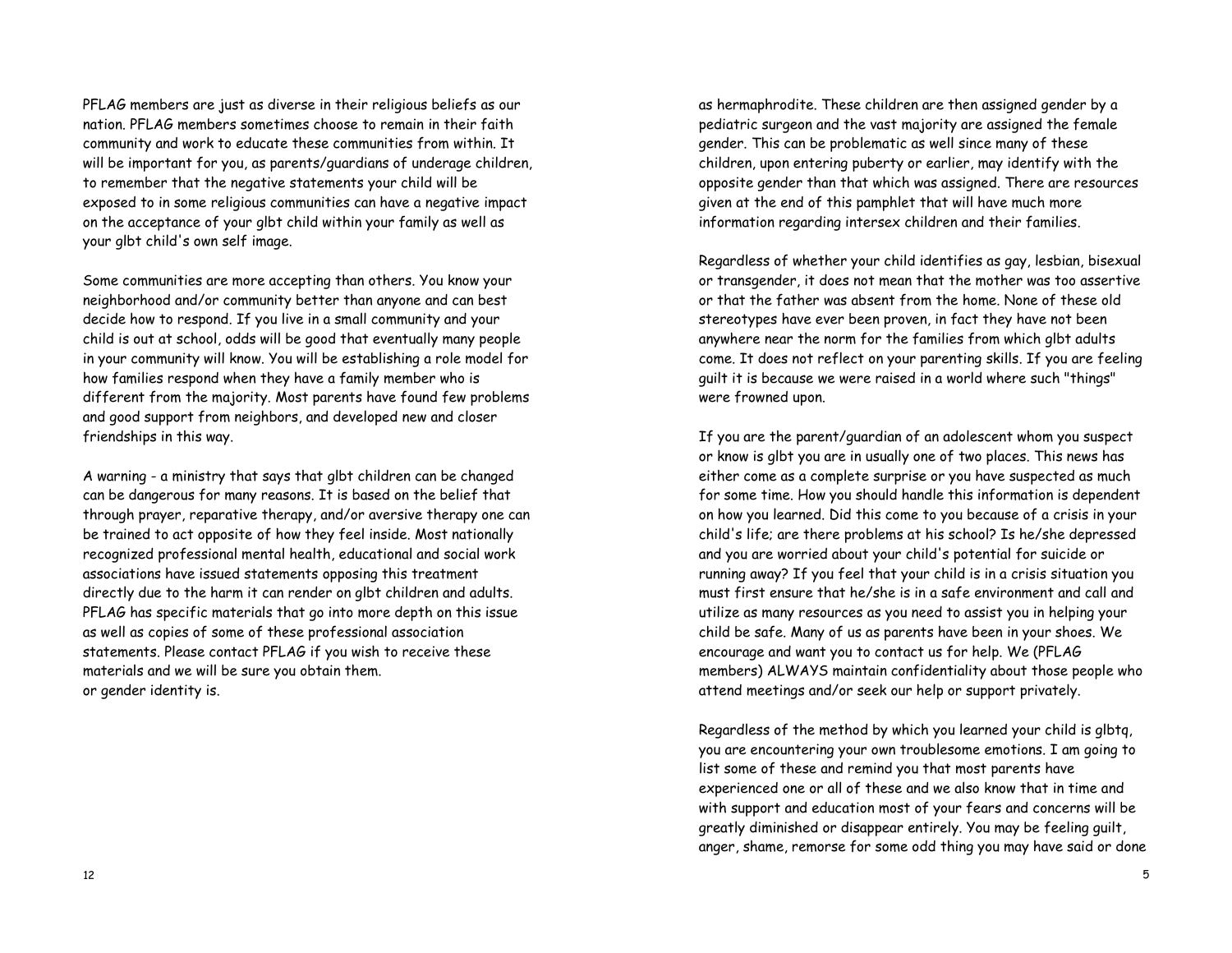PFLAG members are just as diverse in their religious beliefs as our nation. PFLAG members sometimes choose to remain in their faith community and work to educate these communities from within. It will be important for you, as parents/guardians of underage children, to remember that the negative statements your child will be exposed to in some religious communities can have a negative impact on the acceptance of your glbt child within your family as well as your glbt child's own self image.

Some communities are more accepting than others. You know your neighborhood and/or community better than anyone and can best decide how to respond. If you live in a small community and your child is out at school, odds will be good that eventually many people in your community will know. You will be establishing a role model for how families respond when they have a family member who is different from the majority. Most parents have found few problems and good support from neighbors, and developed new and closer friendships in this way.

A warning - a ministry that says that glbt children can be changed can be dangerous for many reasons. It is based on the belief that through prayer, reparative therapy, and/or aversive therapy one can be trained to act opposite of how they feel inside. Most nationally recognized professional mental health, educational and social work associations have issued statements opposing this treatment directly due to the harm it can render on glbt children and adults. PFLAG has specific materials that go into more depth on this issue as well as copies of some of these professional association statements. Please contact PFLAG if you wish to receive these materials and we will be sure you obtain them. or gender identity is.

as hermaphrodite. These children are then assigned gender by a pediatric surgeon and the vast majority are assigned the female gender. This can be problematic as well since many of these children, upon entering puberty or earlier, may identify with the opposite gender than that which was assigned. There are resources given at the end of this pamphlet that will have much more information regarding intersex children and their families.

Regardless of whether your child identifies as gay, lesbian, bisexual or transgender, it does not mean that the mother was too assertive or that the father was absent from the home. None of these old stereotypes have ever been proven, in fact they have not been anywhere near the norm for the families from which glbt adults come. It does not reflect on your parenting skills. If you are feeling guilt it is because we were raised in a world where such "things" were frowned upon.

If you are the parent/guardian of an adolescent whom you suspect or know is glbt you are in usually one of two places. This news has either come as a complete surprise or you have suspected as much for some time. How you should handle this information is dependent on how you learned. Did this come to you because of a crisis in your child's life; are there problems at his school? Is he/she depressed and you are worried about your child's potential for suicide or running away? If you feel that your child is in a crisis situation you must first ensure that he/she is in a safe environment and call and utilize as many resources as you need to assist you in helping your child be safe. Many of us as parents have been in your shoes. We encourage and want you to contact us for help. We (PFLAG members) ALWAYS maintain confidentiality about those people who attend meetings and/or seek our help or support privately.

Regardless of the method by which you learned your child is glbtq, you are encountering your own troublesome emotions. I am going to list some of these and remind you that most parents have experienced one or all of these and we also know that in time and with support and education most of your fears and concerns will be greatly diminished or disappear entirely. You may be feeling guilt, anger, shame, remorse for some odd thing you may have said or done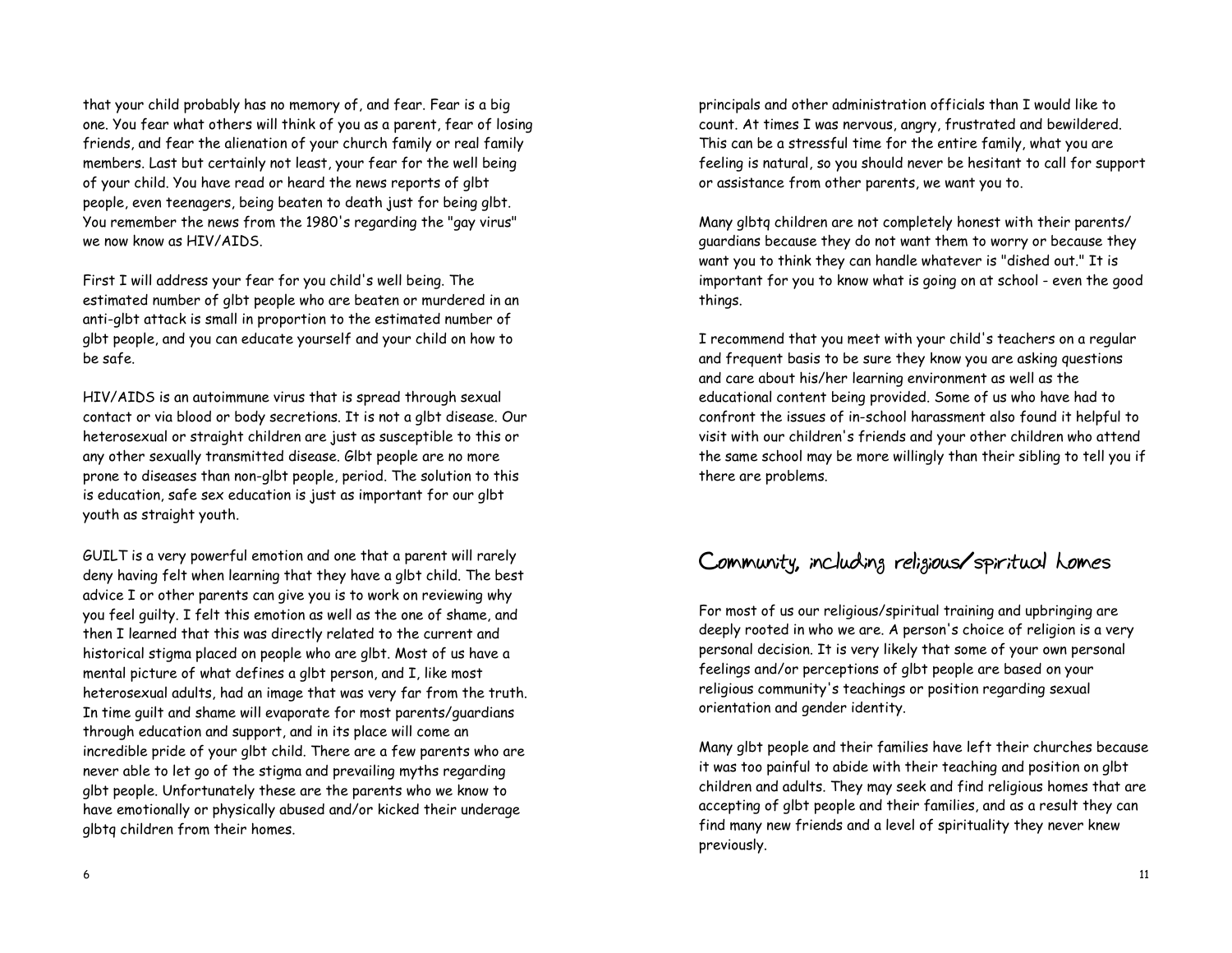that your child probably has no memory of, and fear. Fear is a big one. You fear what others will think of you as a parent, fear of losing friends, and fear the alienation of your church family or real family members. Last but certainly not least, your fear for the well being of your child. You have read or heard the news reports of glbt people, even teenagers, being beaten to death just for being glbt. You remember the news from the 1980's regarding the "gay virus" we now know as HIV/AIDS.

First I will address your fear for you child's well being. The estimated number of glbt people who are beaten or murdered in an anti-glbt attack is small in proportion to the estimated number of glbt people, and you can educate yourself and your child on how to be safe.

HIV/AIDS is an autoimmune virus that is spread through sexual contact or via blood or body secretions. It is not a glbt disease. Our heterosexual or straight children are just as susceptible to this or any other sexually transmitted disease. Glbt people are no more prone to diseases than non-glbt people, period. The solution to this is education, safe sex education is just as important for our glbt youth as straight youth.

GUILT is a very powerful emotion and one that a parent will rarely deny having felt when learning that they have a glbt child. The best advice I or other parents can give you is to work on reviewing why you feel guilty. I felt this emotion as well as the one of shame, and then I learned that this was directly related to the current and historical stigma placed on people who are glbt. Most of us have a mental picture of what defines a glbt person, and I, like most heterosexual adults, had an image that was very far from the truth. In time guilt and shame will evaporate for most parents/guardians through education and support, and in its place will come an incredible pride of your glbt child. There are a few parents who are never able to let go of the stigma and prevailing myths regarding glbt people. Unfortunately these are the parents who we know to have emotionally or physically abused and/or kicked their underage glbtq children from their homes.

principals and other administration officials than I would like to count. At times I was nervous, angry, frustrated and bewildered. This can be a stressful time for the entire family, what you are feeling is natural, so you should never be hesitant to call for support or assistance from other parents, we want you to.

Many glbtq children are not completely honest with their parents/ guardians because they do not want them to worry or because they want you to think they can handle whatever is "dished out." It is important for you to know what is going on at school - even the good things.

I recommend that you meet with your child's teachers on a regular and frequent basis to be sure they know you are asking questions and care about his/her learning environment as well as the educational content being provided. Some of us who have had to confront the issues of in-school harassment also found it helpful to visit with our children's friends and your other children who attend the same school may be more willingly than their sibling to tell you if there are problems.

# **Community, including religious/spiritual homes**

For most of us our religious/spiritual training and upbringing are deeply rooted in who we are. A person's choice of religion is a very personal decision. It is very likely that some of your own personal feelings and/or perceptions of glbt people are based on your religious community's teachings or position regarding sexual orientation and gender identity.

Many glbt people and their families have left their churches because it was too painful to abide with their teaching and position on glbt children and adults. They may seek and find religious homes that are accepting of glbt people and their families, and as a result they can find many new friends and a level of spirituality they never knew previously.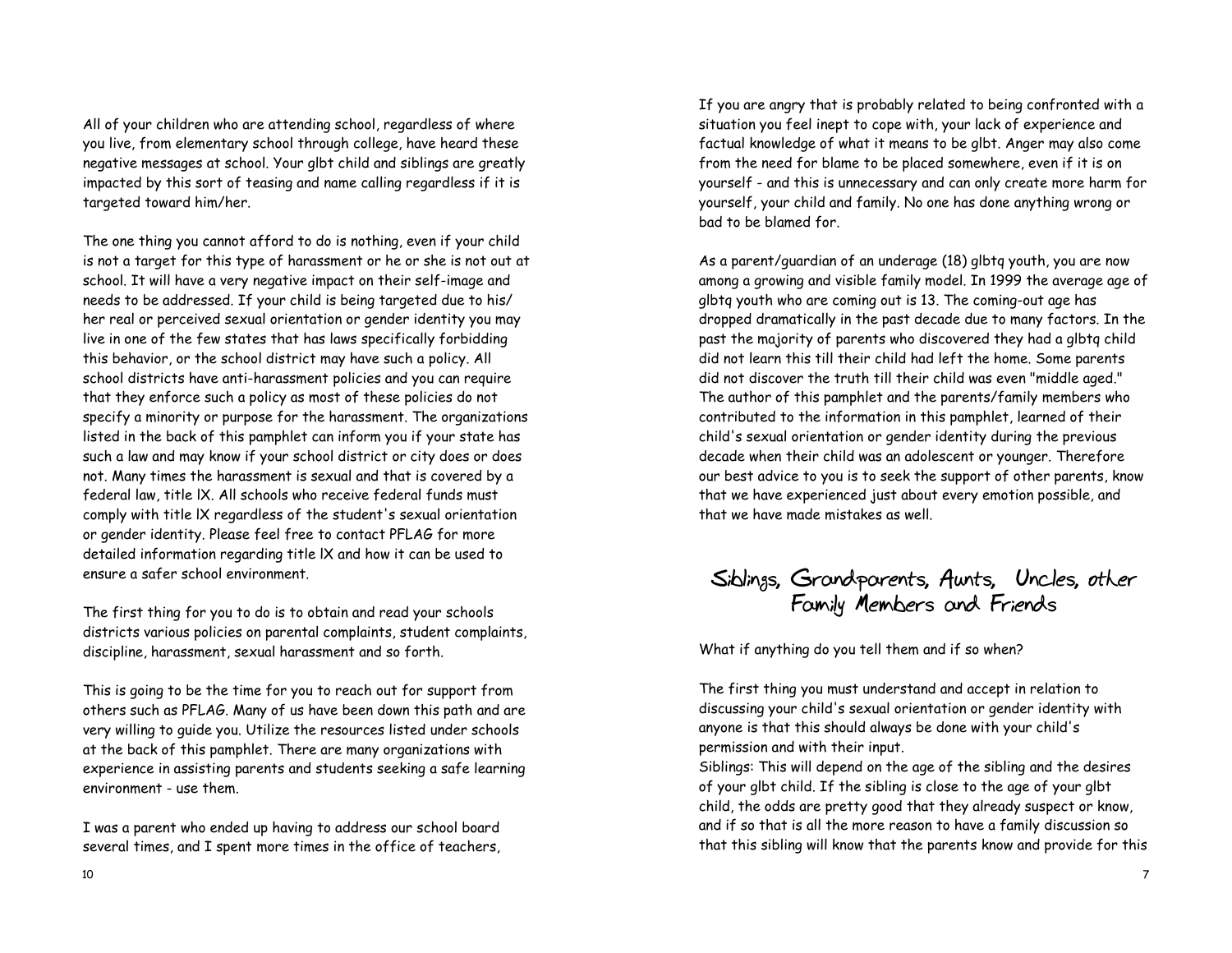All of your children who are attending school, regardless of where you live, from elementary school through college, have heard these negative messages at school. Your glbt child and siblings are greatly impacted by this sort of teasing and name calling regardless if it is targeted toward him/her.

The one thing you cannot afford to do is nothing, even if your child is not a target for this type of harassment or he or she is not out at school. It will have a very negative impact on their self-image and needs to be addressed. If your child is being targeted due to his/ her real or perceived sexual orientation or gender identity you may live in one of the few states that has laws specifically forbidding this behavior, or the school district may have such a policy. All school districts have anti-harassment policies and you can require that they enforce such a policy as most of these policies do not specify a minority or purpose for the harassment. The organizations listed in the back of this pamphlet can inform you if your state has such a law and may know if your school district or city does or does not. Many times the harassment is sexual and that is covered by a federal law, title lX. All schools who receive federal funds must comply with title lX regardless of the student's sexual orientation or gender identity. Please feel free to contact PFLAG for more detailed information regarding title lX and how it can be used to ensure a safer school environment.

The first thing for you to do is to obtain and read your schools districts various policies on parental complaints, student complaints, discipline, harassment, sexual harassment and so forth.

This is going to be the time for you to reach out for support from others such as PFLAG. Many of us have been down this path and are very willing to guide you. Utilize the resources listed under schools at the back of this pamphlet. There are many organizations with experience in assisting parents and students seeking a safe learning environment - use them.

I was a parent who ended up having to address our school board several times, and I spent more times in the office of teachers,

If you are angry that is probably related to being confronted with a situation you feel inept to cope with, your lack of experience and factual knowledge of what it means to be glbt. Anger may also come from the need for blame to be placed somewhere, even if it is on yourself - and this is unnecessary and can only create more harm for yourself, your child and family. No one has done anything wrong or bad to be blamed for.

As a parent/guardian of an underage (18) glbtq youth, you are now among a growing and visible family model. In 1999 the average age of glbtq youth who are coming out is 13. The coming-out age has dropped dramatically in the past decade due to many factors. In the past the majority of parents who discovered they had a glbtq child did not learn this till their child had left the home. Some parents did not discover the truth till their child was even "middle aged." The author of this pamphlet and the parents/family members who contributed to the information in this pamphlet, learned of their child's sexual orientation or gender identity during the previous decade when their child was an adolescent or younger. Therefore our best advice to you is to seek the support of other parents, know that we have experienced just about every emotion possible, and that we have made mistakes as well.

# **Siblings, Grandparents, Aunts, Uncles, other Family Members and Friends**

What if anything do you tell them and if so when?

The first thing you must understand and accept in relation to discussing your child's sexual orientation or gender identity with anyone is that this should always be done with your child's permission and with their input.

Siblings: This will depend on the age of the sibling and the desires of your glbt child. If the sibling is close to the age of your glbt child, the odds are pretty good that they already suspect or know, and if so that is all the more reason to have a family discussion so that this sibling will know that the parents know and provide for this